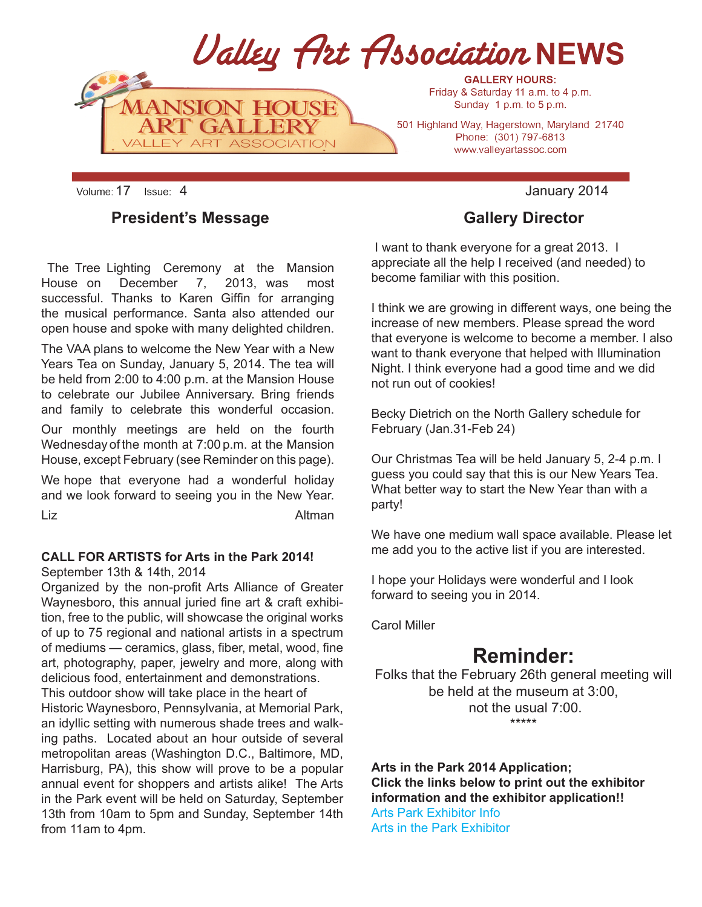

Volume: 17 Issue: 4 January 2014

#### **President's Message**

 The Tree Lighting Ceremony at the Mansion House on December 7, 2013, was most successful. Thanks to Karen Giffin for arranging the musical performance. Santa also attended our open house and spoke with many delighted children.

The VAA plans to welcome the New Year with a New Years Tea on Sunday, January 5, 2014. The tea will be held from 2:00 to 4:00 p.m. at the Mansion House to celebrate our Jubilee Anniversary. Bring friends and family to celebrate this wonderful occasion.

Our monthly meetings are held on the fourth Wednesday of the month at 7:00 p.m. at the Mansion House, except February (see Reminder on this page).

We hope that everyone had a wonderful holiday and we look forward to seeing you in the New Year. Liz **Altman** 

#### **CALL FOR ARTISTS for Arts in the Park 2014!**  September 13th & 14th, 2014

Organized by the non-profit Arts Alliance of Greater Waynesboro, this annual juried fine art & craft exhibition, free to the public, will showcase the original works of up to 75 regional and national artists in a spectrum of mediums — ceramics, glass, fiber, metal, wood, fine art, photography, paper, jewelry and more, along with delicious food, entertainment and demonstrations. This outdoor show will take place in the heart of Historic Waynesboro, Pennsylvania, at Memorial Park, an idyllic setting with numerous shade trees and walking paths. Located about an hour outside of several metropolitan areas (Washington D.C., Baltimore, MD, Harrisburg, PA), this show will prove to be a popular annual event for shoppers and artists alike! The Arts in the Park event will be held on Saturday, September 13th from 10am to 5pm and Sunday, September 14th from 11am to 4pm.

## **Gallery Director**

 I want to thank everyone for a great 2013. I appreciate all the help I received (and needed) to become familiar with this position.

I think we are growing in different ways, one being the increase of new members. Please spread the word that everyone is welcome to become a member. I also want to thank everyone that helped with Illumination Night. I think everyone had a good time and we did not run out of cookies!

Becky Dietrich on the North Gallery schedule for February (Jan.31-Feb 24)

Our Christmas Tea will be held January 5, 2-4 p.m. I guess you could say that this is our New Years Tea. What better way to start the New Year than with a party!

We have one medium wall space available. Please let me add you to the active list if you are interested.

I hope your Holidays were wonderful and I look forward to seeing you in 2014.

Carol Miller

## **Reminder:**

Folks that the February 26th general meeting will be held at the museum at 3:00, not the usual 7:00. \*\*\*\*\*

**Arts in the Park 2014 Application; Click the links below to print out the exhibitor information and the exhibitor application!!** Arts Park Exhibitor Info

Arts in the Park Exhibitor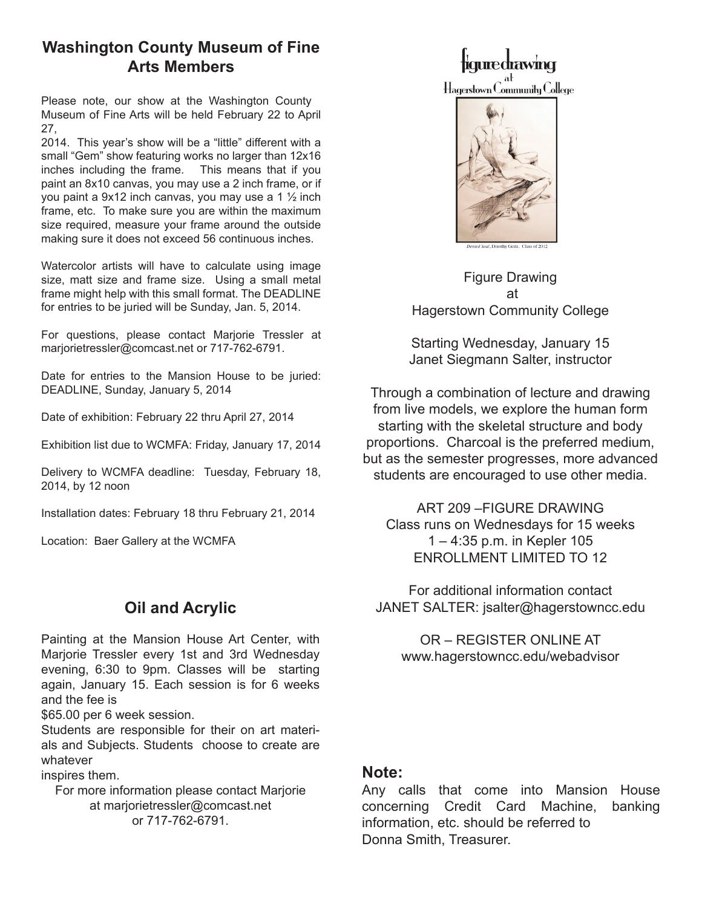## **Washington County Museum of Fine Arts Members**

Please note, our show at the Washington County Museum of Fine Arts will be held February 22 to April 27,

2014. This year's show will be a "little" different with a small "Gem" show featuring works no larger than 12x16 inches including the frame. This means that if you paint an 8x10 canvas, you may use a 2 inch frame, or if you paint a 9x12 inch canvas, you may use a 1 ½ inch frame, etc. To make sure you are within the maximum size required, measure your frame around the outside making sure it does not exceed 56 continuous inches.

Watercolor artists will have to calculate using image size, matt size and frame size. Using a small metal frame might help with this small format. The DEADLINE for entries to be juried will be Sunday, Jan. 5, 2014.

For questions, please contact Marjorie Tressler at marjorietressler@comcast.net or 717-762-6791.

Date for entries to the Mansion House to be juried: DEADLINE, Sunday, January 5, 2014

Date of exhibition: February 22 thru April 27, 2014

Exhibition list due to WCMFA: Friday, January 17, 2014

Delivery to WCMFA deadline: Tuesday, February 18, 2014, by 12 noon

Installation dates: February 18 thru February 21, 2014

Location: Baer Gallery at the WCMFA

## **Oil and Acrylic**

Painting at the Mansion House Art Center, with Marjorie Tressler every 1st and 3rd Wednesday evening, 6:30 to 9pm. Classes will be starting again, January 15. Each session is for 6 weeks and the fee is

\$65.00 per 6 week session.

Students are responsible for their on art materials and Subjects. Students choose to create are whatever

inspires them.

For more information please contact Marjorie at marjorietressler@comcast.net or 717-762-6791.

tiguredrawing Hagerstown Community College



Figure Drawing at Hagerstown Community College

Starting Wednesday, January 15 Janet Siegmann Salter, instructor

Through a combination of lecture and drawing from live models, we explore the human form starting with the skeletal structure and body proportions. Charcoal is the preferred medium, but as the semester progresses, more advanced students are encouraged to use other media.

ART 209 –FIGURE DRAWING Class runs on Wednesdays for 15 weeks 1 – 4:35 p.m. in Kepler 105 ENROLLMENT LIMITED TO 12

For additional information contact JANET SALTER: jsalter@hagerstowncc.edu

OR – REGISTER ONLINE AT www.hagerstowncc.edu/webadvisor

#### **Note:**

Any calls that come into Mansion House concerning Credit Card Machine, banking information, etc. should be referred to Donna Smith, Treasurer.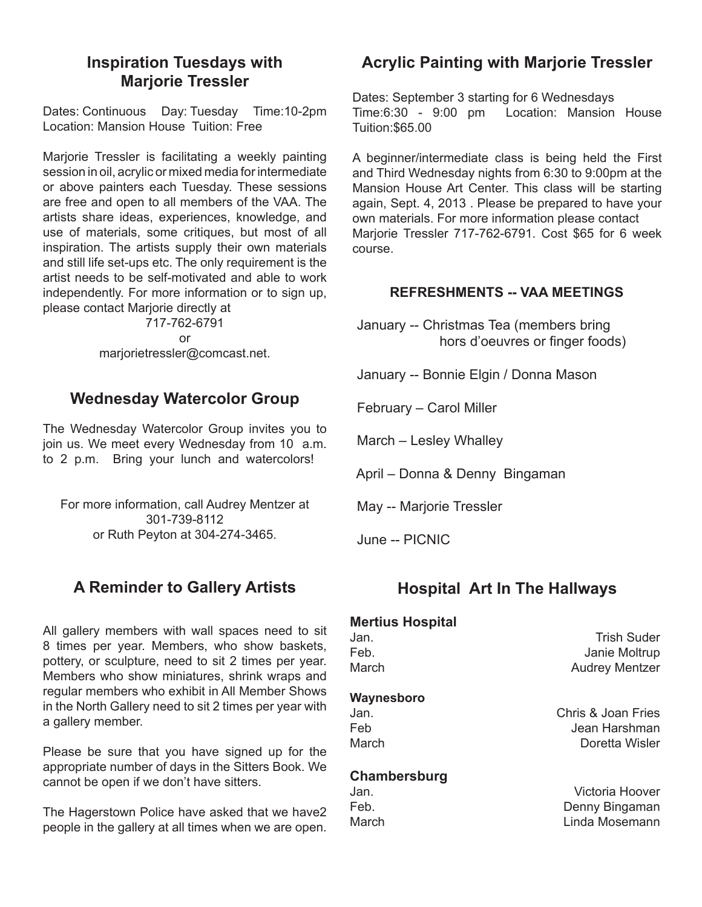#### **Inspiration Tuesdays with Marjorie Tressler**

Dates: Continuous Day: Tuesday Time:10-2pm Location: Mansion House Tuition: Free

Marjorie Tressler is facilitating a weekly painting session in oil, acrylic or mixed media for intermediate or above painters each Tuesday. These sessions are free and open to all members of the VAA. The artists share ideas, experiences, knowledge, and use of materials, some critiques, but most of all inspiration. The artists supply their own materials and still life set-ups etc. The only requirement is the artist needs to be self-motivated and able to work independently. For more information or to sign up, please contact Marjorie directly at

717-762-6791 or marjorietressler@comcast.net.

#### **Wednesday Watercolor Group**

The Wednesday Watercolor Group invites you to join us. We meet every Wednesday from 10 a.m. to 2 p.m. Bring your lunch and watercolors!

For more information, call Audrey Mentzer at 301-739-8112 or Ruth Peyton at 304-274-3465.

## **A Reminder to Gallery Artists**

All gallery members with wall spaces need to sit 8 times per year. Members, who show baskets, pottery, or sculpture, need to sit 2 times per year. Members who show miniatures, shrink wraps and regular members who exhibit in All Member Shows in the North Gallery need to sit 2 times per year with a gallery member.

Please be sure that you have signed up for the appropriate number of days in the Sitters Book. We cannot be open if we don't have sitters.

The Hagerstown Police have asked that we have2 people in the gallery at all times when we are open.

## **Acrylic Painting with Marjorie Tressler**

Dates: September 3 starting for 6 Wednesdays Time:6:30 - 9:00 pm Location: Mansion House Tuition:\$65.00

A beginner/intermediate class is being held the First and Third Wednesday nights from 6:30 to 9:00pm at the Mansion House Art Center. This class will be starting again, Sept. 4, 2013 . Please be prepared to have your own materials. For more information please contact Marjorie Tressler 717-762-6791. Cost \$65 for 6 week course.

#### **REFRESHMENTS -- VAA MEETINGS**

 January -- Christmas Tea (members bring hors d'oeuvres or finger foods)

January -- Bonnie Elgin / Donna Mason

February – Carol Miller

March – Lesley Whalley

April – Donna & Denny Bingaman

May -- Marjorie Tressler

June -- PICNIC

## **Hospital Art In The Hallways**

## **Mertius Hospital**

#### **Waynesboro**

#### **Chambersburg**

**Trish Suder** Feb. Janie Moltrup March March **Audrey Mentzer** 

Jan. Chris & Joan Fries Feb Jean Harshman March **Doretta Wisler** 

Jan. Victoria Hoover Denny Bingaman March Linda Mosemann